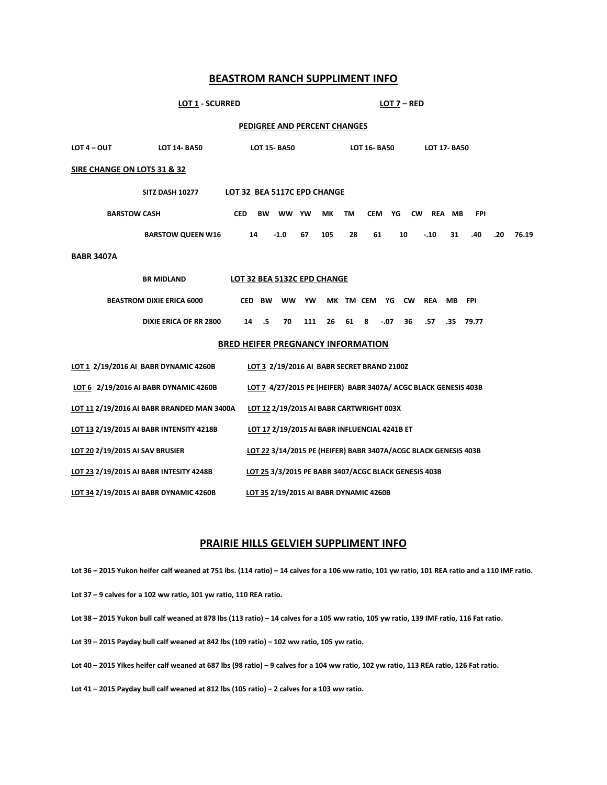# **BEASTROM RANCH SUPPLIMENT INFO**

## **LOT 1 - SCURRED LOT 7 – RED**

### **PEDIGREE AND PERCENT CHANGES**

| $LOT 4 - OUT$                                                                                            | <b>LOT 14-BA50</b>                      | <b>LOT 15-BA50</b> |           |           |     | <b>LOT 16-BA50</b> |           |                                        |              |                                                                 | <b>LOT 17-BA50</b> |            |     |       |  |
|----------------------------------------------------------------------------------------------------------|-----------------------------------------|--------------------|-----------|-----------|-----|--------------------|-----------|----------------------------------------|--------------|-----------------------------------------------------------------|--------------------|------------|-----|-------|--|
| SIRE CHANGE ON LOTS 31 & 32                                                                              |                                         |                    |           |           |     |                    |           |                                        |              |                                                                 |                    |            |     |       |  |
| LOT 32 BEA 5117C EPD CHANGE<br><b>SITZ DASH 10277</b>                                                    |                                         |                    |           |           |     |                    |           |                                        |              |                                                                 |                    |            |     |       |  |
| <b>BARSTOW CASH</b>                                                                                      |                                         | <b>CED</b>         | <b>BW</b> | ww        | YW  | МK                 | <b>TM</b> | <b>CEM</b>                             | YG           | <b>CW</b>                                                       | <b>REA</b><br>MВ   | <b>FPI</b> |     |       |  |
|                                                                                                          | <b>BARSTOW QUEEN W16</b>                |                    | 14        | $-1.0$    | 67  | 105                | 28        | 61                                     | 10           | $-.10$                                                          | 31                 | .40        | .20 | 76.19 |  |
| <b>BABR 3407A</b>                                                                                        |                                         |                    |           |           |     |                    |           |                                        |              |                                                                 |                    |            |     |       |  |
| LOT 32 BEA 5132C EPD CHANGE<br><b>BR MIDLAND</b>                                                         |                                         |                    |           |           |     |                    |           |                                        |              |                                                                 |                    |            |     |       |  |
|                                                                                                          | <b>BEASTROM DIXIE ERICA 6000</b>        |                    | CED BW    | <b>WW</b> | YW  |                    |           | MK TM CEM YG                           | <b>CW</b>    | <b>REA</b>                                                      | <b>MB</b>          | <b>FPI</b> |     |       |  |
|                                                                                                          | <b>DIXIE ERICA OF RR 2800</b>           | 14                 | .5        | 70        | 111 | 26                 | 61 8      |                                        | $-.07$<br>36 | .57                                                             | .35                | 79.77      |     |       |  |
| <b>BRED HEIFER PREGNANCY INFORMATION</b>                                                                 |                                         |                    |           |           |     |                    |           |                                        |              |                                                                 |                    |            |     |       |  |
| LOT 1 2/19/2016 AI BABR DYNAMIC 4260B<br>LOT 3 2/19/2016 AI BABR SECRET BRAND 2100Z                      |                                         |                    |           |           |     |                    |           |                                        |              |                                                                 |                    |            |     |       |  |
| LOT 6 2/19/2016 AI BABR DYNAMIC 4260B<br>LOT 7 4/27/2015 PE (HEIFER) BABR 3407A/ ACGC BLACK GENESIS 403B |                                         |                    |           |           |     |                    |           |                                        |              |                                                                 |                    |            |     |       |  |
| LOT 11 2/19/2016 AI BABR BRANDED MAN 3400A<br>LOT 12 2/19/2015 AI BABR CARTWRIGHT 003X                   |                                         |                    |           |           |     |                    |           |                                        |              |                                                                 |                    |            |     |       |  |
| LOT 13 2/19/2015 AI BABR INTENSITY 4218B<br>LOT 17 2/19/2015 AI BABR INFLUENCIAL 4241B ET                |                                         |                    |           |           |     |                    |           |                                        |              |                                                                 |                    |            |     |       |  |
| LOT 20 2/19/2015 AI SAV BRUSIER                                                                          |                                         |                    |           |           |     |                    |           |                                        |              | LOT 22 3/14/2015 PE (HEIFER) BABR 3407A/ACGC BLACK GENESIS 403B |                    |            |     |       |  |
|                                                                                                          | LOT 23 2/19/2015 AI BABR INTESITY 4248B |                    |           |           |     |                    |           |                                        |              | LOT 25 3/3/2015 PE BABR 3407/ACGC BLACK GENESIS 403B            |                    |            |     |       |  |
|                                                                                                          | LOT 34 2/19/2015 AI BABR DYNAMIC 4260B  |                    |           |           |     |                    |           | LOT 35 2/19/2015 AI BABR DYNAMIC 4260B |              |                                                                 |                    |            |     |       |  |

## **PRAIRIE HILLS GELVIEH SUPPLIMENT INFO**

**Lot 36 – 2015 Yukon heifer calf weaned at 751 lbs. (114 ratio) – 14 calves for a 106 ww ratio, 101 yw ratio, 101 REA ratio and a 110 IMF ratio.**

- **Lot 37 – 9 calves for a 102 ww ratio, 101 yw ratio, 110 REA ratio.**
- **Lot 38 – 2015 Yukon bull calf weaned at 878 lbs (113 ratio) – 14 calves for a 105 ww ratio, 105 yw ratio, 139 IMF ratio, 116 Fat ratio.**
- **Lot 39 – 2015 Payday bull calf weaned at 842 lbs (109 ratio) – 102 ww ratio, 105 yw ratio.**
- **Lot 40 – 2015 Yikes heifer calf weaned at 687 lbs (98 ratio) – 9 calves for a 104 ww ratio, 102 yw ratio, 113 REA ratio, 126 Fat ratio.**

**Lot 41 – 2015 Payday bull calf weaned at 812 lbs (105 ratio) – 2 calves for a 103 ww ratio.**